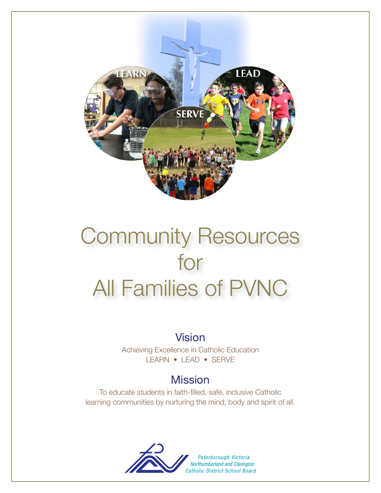

# Community Resources for All Families of PVNC

# Vision

Achieving Excellence in Catholic Education LEARN • LEAD • SERVE

# **Mission**

To educate students in faith-filled, safe, inclusive Catholic learning communities by nurturing the mind, body and spirit of all.

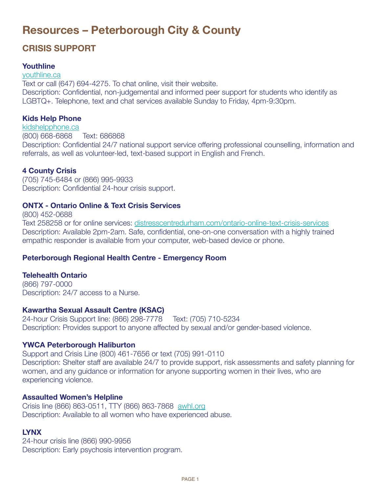# **Resources – Peterborough City & County**

### **CRisis suPPoRt**

### **Youthline**

<youthline.ca> Text or call (647) 694-4275. To chat online, visit their website. Description: Confidential, non-judgemental and informed peer support for students who identify as LGBTQ+. Telephone, text and chat services available Sunday to Friday, 4pm-9:30pm.

### **Kids Help Phone**

<kidshelpphone.ca> (800) 668-6868 Text: 686868 Description: Confidential 24/7 national support service offering professional counselling, information and referrals, as well as volunteer-led, text-based support in English and French.

### **4 County Crisis**

(705) 745-6484 or (866) 995-9933 Description: Confidential 24-hour crisis support.

### **ONTX - Ontario Online & Text Crisis Services**

(800) 452-0688

Text 258258 or for online services:<distresscentredurham.com/ontario-online-text-crisis-services> Description: Available 2pm-2am. Safe, confidential, one-on-one conversation with a highly trained empathic responder is available from your computer, web-based device or phone.

### **Peterborough Regional Health Centre - Emergency Room**

### **Telehealth Ontario**

(866) 797-0000 Description: 24/7 access to a Nurse.

### **Kawartha sexual Assault Centre (KsAC)**

24-hour Crisis Support line: (866) 298-7778 Text: (705) 710-5234 Description: Provides support to anyone affected by sexual and/or gender-based violence.

### **YWCA Peterborough Haliburton**

Support and Crisis Line (800) 461-7656 or text (705) 991-0110 Description: Shelter staff are available 24/7 to provide support, risk assessments and safety planning for women, and any guidance or information for anyone supporting women in their lives, who are experiencing violence.

### **Assaulted Women's Helpline**

Crisis line (866) 863-0511, TTY (866) 863-7868 <awhl.org> Description: Available to all women who have experienced abuse.

### **LYNX**

24-hour crisis line (866) 990-9956 Description: Early psychosis intervention program.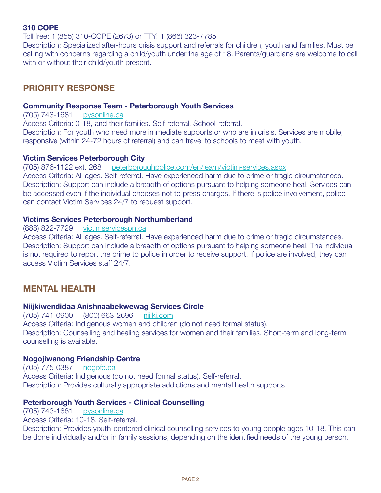### **310 CoPE**

Toll free: 1 (855) 310-COPE (2673) or TTY: 1 (866) 323-7785

Description: Specialized after-hours crisis support and referrals for children, youth and families. Must be calling with concerns regarding a child/youth under the age of 18. Parents/guardians are welcome to call with or without their child/youth present.

### **PRioRitY REsPoNsE**

### **Community Response Team - Peterborough Youth Services**

(705) 743-1681 <pysonline.ca> Access Criteria: 0-18, and their families. Self-referral. School-referral. Description: For youth who need more immediate supports or who are in crisis. Services are mobile, responsive (within 24-72 hours of referral) and can travel to schools to meet with youth.

### **Victim services Peterborough City**

(705) 876-1122 ext. 268 <peterboroughpolice.com/en/learn/victim-services.aspx> Access Criteria: All ages. Self-referral. Have experienced harm due to crime or tragic circumstances. Description: Support can include a breadth of options pursuant to helping someone heal. Services can be accessed even if the individual chooses not to press charges. If there is police involvement, police can contact Victim Services 24/7 to request support.

### **Victims services Peterborough Northumberland**

(888) 822-7729 <victimservicespn.ca>

Access Criteria: All ages. Self-referral. Have experienced harm due to crime or tragic circumstances. Description: Support can include a breadth of options pursuant to helping someone heal. The individual is not required to report the crime to police in order to receive support. If police are involved, they can access Victim Services staff 24/7.

### **MENtAL HEALtH**

### **Niijkiwendidaa Anishnaabekwewag services Circle**

(705) 741-0900 (800) 663-2696 <niijki.com> Access Criteria: Indigenous women and children (do not need formal status). Description: Counselling and healing services for women and their families. Short-term and long-term counselling is available.

### **Nogojiwanong Friendship Centre**

(705) 775-0387 <nogofc.ca> Access Criteria: Indigenous (do not need formal status). Self-referral. Description: Provides culturally appropriate addictions and mental health supports.

### **Peterborough Youth services - Clinical Counselling**

(705) 743-1681 <pysonline.ca>

Access Criteria: 10-18. Self-referral.

Description: Provides youth-centered clinical counselling services to young people ages 10-18. This can be done individually and/or in family sessions, depending on the identified needs of the young person.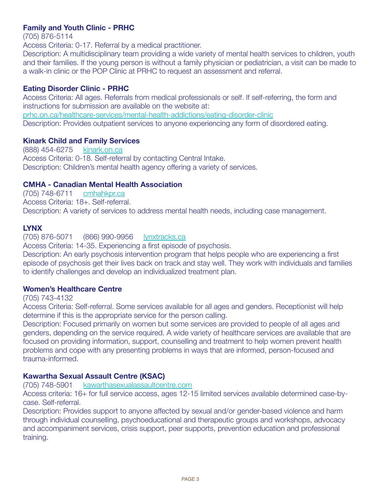### **Family and Youth Clinic - PRHC**

(705) 876-5114

Access Criteria: 0-17. Referral by a medical practitioner.

Description: A multidisciplinary team providing a wide variety of mental health services to children, youth and their families. If the young person is without a family physician or pediatrician, a visit can be made to a walk-in clinic or the POP Clinic at PRHC to request an assessment and referral.

### **Eating Disorder Clinic - PRHC**

Access Criteria: All ages. Referrals from medical professionals or self. If self-referring, the form and instructions for submission are available on the website at: <prhc.on.ca/healthcare-services/mental-health-addictions/eating-disorder-clinic> Description: Provides outpatient services to anyone experiencing any form of disordered eating.

### **Kinark Child and Family services**

(888) 454-6275 <kinark.on.ca> Access Criteria: 0-18. Self-referral by contacting Central Intake. Description: Children's mental health agency offering a variety of services.

### **CMHA - Canadian Mental Health Association**

(705) 748-6711 <cmhahkpr.ca> Access Criteria: 18+. Self-referral. Description: A variety of services to address mental health needs, including case management.

### **LYNX**

(705) 876-5071 (866) 990-9956 <lynxtracks.ca>

Access Criteria: 14-35. Experiencing a first episode of psychosis.

Description: An early psychosis intervention program that helps people who are experiencing a first episode of psychosis get their lives back on track and stay well. They work with individuals and families to identify challenges and develop an individualized treatment plan.

### **Women's Healthcare Centre**

### (705) 743-4132

Access Criteria: Self-referral. Some services available for all ages and genders. Receptionist will help determine if this is the appropriate service for the person calling.

Description: Focused primarily on women but some services are provided to people of all ages and genders, depending on the service required. A wide variety of healthcare services are available that are focused on providing information, support, counselling and treatment to help women prevent health problems and cope with any presenting problems in ways that are informed, person-focused and trauma-informed.

### **Kawartha sexual Assault Centre (KsAC)**

(705) 748-5901 <kawarthasexualassaultcentre.com>

Access criteria: 16+ for full service access, ages 12-15 limited services available determined case-bycase. Self-referral.

Description: Provides support to anyone affected by sexual and/or gender-based violence and harm through individual counselling, psychoeducational and therapeutic groups and workshops, advocacy and accompaniment services, crisis support, peer supports, prevention education and professional training.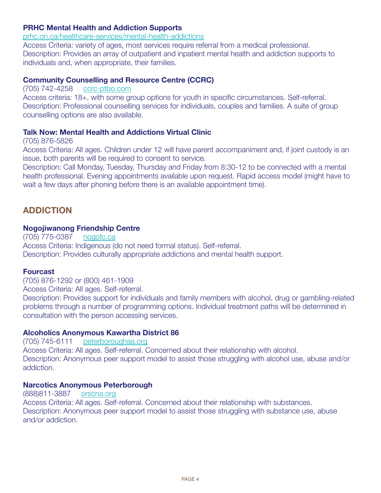### **PRHC Mental Health and Addiction supports**

<prhc.on.ca/healthcare-services/mental-health-addictions>

Access Criteria: variety of ages, most services require referral from a medical professional. Description: Provides an array of outpatient and inpatient mental health and addiction supports to individuals and, when appropriate, their families.

### **Community Counselling and Resource Centre (CCRC)**

(705) 742-4258 <ccrc-ptbo.com>

Access criteria: 18+, with some group options for youth in specific circumstances. Self-referral. Description: Professional counselling services for individuals, couples and families. A suite of group counselling options are also available.

### **talk Now: Mental Health and Addictions Virtual Clinic**

(705) 876-5826

Access Criteria: All ages. Children under 12 will have parent accompaniment and, if joint custody is an issue, both parents will be required to consent to service.

Description: Call Monday, Tuesday, Thursday and Friday from 8:30-12 to be connected with a mental health professional. Evening appointments available upon request. Rapid access model (might have to wait a few days after phoning before there is an available appointment time).

### **ADDiCtioN**

### **Nogojiwanong Friendship Centre**

(705) 775-0387 <nogofc.ca> Access Criteria: Indigenous (do not need formal status). Self-referral. Description: Provides culturally appropriate addictions and mental health support.

### **Fourcast**

(705) 876-1292 or (800) 461-1909

Access Criteria: All ages. Self-referral.

Description: Provides support for individuals and family members with alcohol, drug or gambling-related problems through a number of programming options. Individual treatment paths will be determined in consultation with the person accessing services.

### **Alcoholics Anonymous Kawartha District 86**

(705) 745-6111 <peterboroughaa.org> Access Criteria: All ages. Self-referral. Concerned about their relationship with alcohol. Description: Anonymous peer support model to assist those struggling with alcohol use, abuse and/or addiction.

### **Narcotics Anonymous Peterborough**

(888)811-3887 <orscna.org> Access Criteria: All ages. Self-referral. Concerned about their relationship with substances. Description: Anonymous peer support model to assist those struggling with substance use, abuse and/or addiction.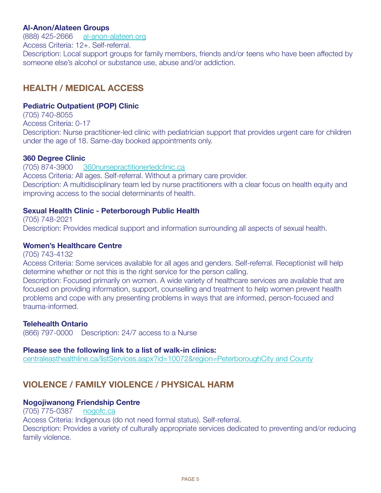### **Al-Anon/Alateen Groups**

(888) 425-2666 <al-anon-alateen.org> Access Criteria: 12+. Self-referral. Description: Local support groups for family members, friends and/or teens who have been affected by someone else's alcohol or substance use, abuse and/or addiction.

### **HEALtH / MEDiCAL ACCEss**

### **Pediatric outpatient (PoP) Clinic**

(705) 740-8055 Access Criteria: 0-17 Description: Nurse practitioner-led clinic with pediatrician support that provides urgent care for children under the age of 18. Same-day booked appointments only.

### **360 Degree Clinic**

(705) 874-3900 <360nursepractitionerledclinic.ca> Access Criteria: All ages. Self-referral. Without a primary care provider. Description: A multidisciplinary team led by nurse practitioners with a clear focus on health equity and improving access to the social determinants of health.

### **sexual Health Clinic - Peterborough Public Health**

(705) 748-2021 Description: Provides medical support and information surrounding all aspects of sexual health.

### **Women's Healthcare Centre**

(705) 743-4132

Access Criteria: Some services available for all ages and genders. Self-referral. Receptionist will help determine whether or not this is the right service for the person calling.

Description: Focused primarily on women. A wide variety of healthcare services are available that are focused on providing information, support, counselling and treatment to help women prevent health problems and cope with any presenting problems in ways that are informed, person-focused and trauma-informed.

### **Telehealth Ontario**

(866) 797-0000 Description: 24/7 access to a Nurse

### **Please see the following link to a list of walk-in clinics:**

[centraleasthealthline.ca/listServices.aspx?id=10072&region=PeterboroughCity and County](centraleasthealthline.ca/listServices.aspx?id=10072®ion=PeterboroughCity and County)

### **VioLENCE / FAMiLY VioLENCE / PHYsiCAL HARM**

### **Nogojiwanong Friendship Centre**

(705) 775-0387 <nogofc.ca>

Access Criteria: Indigenous (do not need formal status). Self-referral.

Description: Provides a variety of culturally appropriate services dedicated to preventing and/or reducing family violence.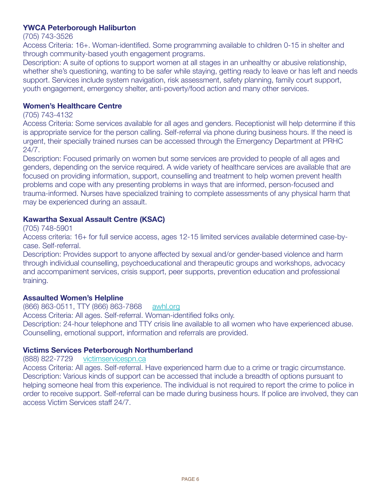### **YWCA Peterborough Haliburton**

#### (705) 743-3526

Access Criteria: 16+. Woman-identified. Some programming available to children 0-15 in shelter and through community-based youth engagement programs.

Description: A suite of options to support women at all stages in an unhealthy or abusive relationship, whether she's questioning, wanting to be safer while staying, getting ready to leave or has left and needs support. Services include system navigation, risk assessment, safety planning, family court support, youth engagement, emergency shelter, anti-poverty/food action and many other services.

### **Women's Healthcare Centre**

### (705) 743-4132

Access Criteria: Some services available for all ages and genders. Receptionist will help determine if this is appropriate service for the person calling. Self-referral via phone during business hours. If the need is urgent, their specially trained nurses can be accessed through the Emergency Department at PRHC 24/7.

Description: Focused primarily on women but some services are provided to people of all ages and genders, depending on the service required. A wide variety of healthcare services are available that are focused on providing information, support, counselling and treatment to help women prevent health problems and cope with any presenting problems in ways that are informed, person-focused and trauma-informed. Nurses have specialized training to complete assessments of any physical harm that may be experienced during an assault.

### **Kawartha sexual Assault Centre (KsAC)**

(705) 748-5901

Access criteria: 16+ for full service access, ages 12-15 limited services available determined case-bycase. Self-referral.

Description: Provides support to anyone affected by sexual and/or gender-based violence and harm through individual counselling, psychoeducational and therapeutic groups and workshops, advocacy and accompaniment services, crisis support, peer supports, prevention education and professional training.

### **Assaulted Women's Helpline**

(866) 863-0511, TTY (866) 863-7868 <awhl.org>

Access Criteria: All ages. Self-referral. Woman-identified folks only.

Description: 24-hour telephone and TTY crisis line available to all women who have experienced abuse. Counselling, emotional support, information and referrals are provided.

### **Victims services Peterborough Northumberland**

(888) 822-7729 <victimservicespn.ca>

Access Criteria: All ages. Self-referral. Have experienced harm due to a crime or tragic circumstance. Description: Various kinds of support can be accessed that include a breadth of options pursuant to helping someone heal from this experience. The individual is not required to report the crime to police in order to receive support. Self-referral can be made during business hours. If police are involved, they can access Victim Services staff 24/7.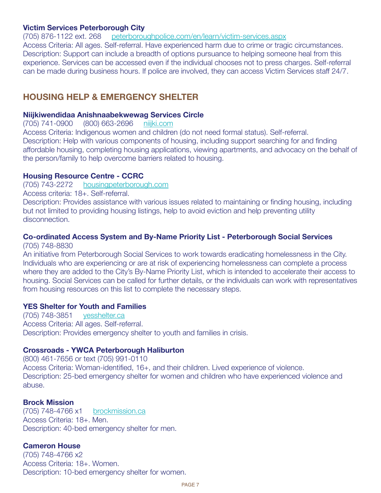### **Victim services Peterborough City**

(705) 876-1122 ext. 268 <peterboroughpolice.com/en/learn/victim-services.aspx> Access Criteria: All ages. Self-referral. Have experienced harm due to crime or tragic circumstances. Description: Support can include a breadth of options pursuance to helping someone heal from this experience. Services can be accessed even if the individual chooses not to press charges. Self-referral can be made during business hours. If police are involved, they can access Victim Services staff 24/7.

### **HousiNG HELP & EMERGENCY sHELtER**

#### **Niijkiwendidaa Anishnaabekwewag services Circle**

(705) 741-0900 (800) 663-2696 <niijki.com>

Access Criteria: Indigenous women and children (do not need formal status). Self-referral. Description: Help with various components of housing, including support searching for and finding affordable housing, completing housing applications, viewing apartments, and advocacy on the behalf of the person/family to help overcome barriers related to housing.

### **Housing Resource Centre - CCRC**

(705) 743-2272 <housingpeterborough.com>

Access criteria: 18+. Self-referral.

Description: Provides assistance with various issues related to maintaining or finding housing, including but not limited to providing housing listings, help to avoid eviction and help preventing utility disconnection.

### **Co-ordinated Access system and By-Name Priority List - Peterborough social services**

(705) 748-8830

An initiative from Peterborough Social Services to work towards eradicating homelessness in the City. Individuals who are experiencing or are at risk of experiencing homelessness can complete a process where they are added to the City's By-Name Priority List, which is intended to accelerate their access to housing. Social Services can be called for further details, or the individuals can work with representatives from housing resources on this list to complete the necessary steps.

### **YEs shelter for Youth and Families**

(705) 748-3851 <yesshelter.ca> Access Criteria: All ages. Self-referral. Description: Provides emergency shelter to youth and families in crisis.

### **Crossroads - YWCA Peterborough Haliburton**

(800) 461-7656 or text (705) 991-0110 Access Criteria: Woman-identified, 16+, and their children. Lived experience of violence. Description: 25-bed emergency shelter for women and children who have experienced violence and abuse.

### **Brock Mission**

(705) 748-4766 x1 <brockmission.ca> Access Criteria: 18+. Men. Description: 40-bed emergency shelter for men.

### **Cameron House**

(705) 748-4766 x2 Access Criteria: 18+. Women. Description: 10-bed emergency shelter for women.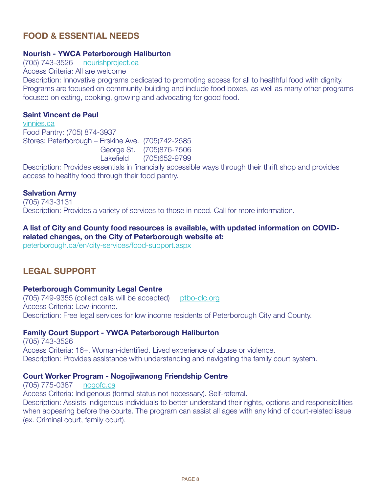### **FooD & EssENtiAL NEEDs**

### **Nourish - YWCA Peterborough Haliburton**

(705) 743-3526 <nourishproject.ca> Access Criteria: All are welcome Description: Innovative programs dedicated to promoting access for all to healthful food with dignity. Programs are focused on community-building and include food boxes, as well as many other programs focused on eating, cooking, growing and advocating for good food.

#### **saint Vincent de Paul**

<vinnies.ca> Food Pantry: (705) 874-3937 Stores: Peterborough – Erskine Ave. (705)742-2585 George St. (705)876-7506 Lakefield (705)652-9799

Description: Provides essentials in financially accessible ways through their thrift shop and provides access to healthy food through their food pantry.

### **salvation Army**

(705) 743-3131 Description: Provides a variety of services to those in need. Call for more information.

### **A list of City and County food resources is available, with updated information on CoViDrelated changes, on the City of Peterborough website at:**

<peterborough.ca/en/city-services/food-support.aspx>

### **LEGAL suPPoRt**

#### **Peterborough Community Legal Centre**

(705) 749-9355 (collect calls will be accepted) <ptbo-clc.org> Access Criteria: Low-income. Description: Free legal services for low income residents of Peterborough City and County.

### **Family Court support - YWCA Peterborough Haliburton**

(705) 743-3526 Access Criteria: 16+. Woman-identified. Lived experience of abuse or violence. Description: Provides assistance with understanding and navigating the family court system.

#### **Court Worker Program - Nogojiwanong Friendship Centre**

(705) 775-0387 <nogofc.ca> Access Criteria: Indigenous (formal status not necessary). Self-referral. Description: Assists Indigenous individuals to better understand their rights, options and responsibilities when appearing before the courts. The program can assist all ages with any kind of court-related issue (ex. Criminal court, family court).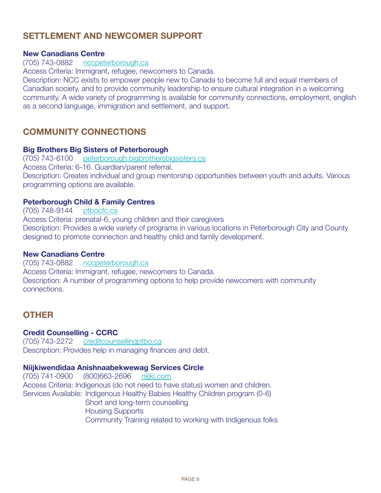### **SETTI EMENT AND NEWCOMER SUPPORT**

### **New Canadians Centre**

### (705) 743-0882 <nccpeterborough.ca>

Access Criteria: Immigrant, refugee, newcomers to Canada.

Description: NCC exists to empower people new to Canada to become full and equal members of Canadian society, and to provide community leadership to ensure cultural integration in a welcoming community. A wide variety of programming is available for community connections, employment, english as a second language, immigration and settlement, and support.

### **CoMMuNitY CoNNECtioNs**

### **Big Brothers Big sisters of Peterborough**

(705) 743-6100 <peterborough.bigbrothersbigsisters.ca> Access Criteria: 6-16. Guardian/parent referral. Description: Creates individual and group mentorship opportunities between youth and adults. Various programming options are available.

### **Peterborough Child & Family Centres**

#### (705) 748-9144 <ptbocfc.ca>

Access Criteria: prenatal-6, young children and their caregivers Description: Provides a wide variety of programs in various locations in Peterborough City and County designed to promote connection and healthy child and family development.

### **New Canadians Centre**

(705) 743-0882 <nccpeterborough.ca> Access Criteria: Immigrant, refugee, newcomers to Canada. Description: A number of programming options to help provide newcomers with community connections.

### **otHER**

### **Credit Counselling - CCRC**

(705) 743-2272 <creditcounsellingptbo.ca> Description: Provides help in managing finances and debt.

#### **Niijkiwendidaa Anishnaabekwewag services Circle**

(705) 741-0900 (800)663-2696 <niijki.com> Access Criteria: Indigenous (do not need to have status) women and children. Services Available: Indigenous Healthy Babies Healthy Children program (0-6) Short and long-term counselling Housing Supports Community Training related to working with Indigenous folks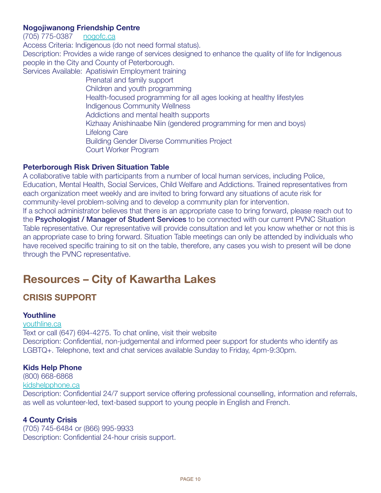### **Nogojiwanong Friendship Centre**

(705) 775-0387 <nogofc.ca>

Access Criteria: Indigenous (do not need formal status).

Description: Provides a wide range of services designed to enhance the quality of life for Indigenous people in the City and County of Peterborough.

Services Available: Apatisiwin Employment training

 Prenatal and family support Children and youth programming Health-focused programming for all ages looking at healthy lifestyles Indigenous Community Wellness Addictions and mental health supports Kizhaay Anishinaabe Niin (gendered programming for men and boys) Lifelong Care Building Gender Diverse Communities Project Court Worker Program

### **Peterborough Risk Driven Situation Table**

A collaborative table with participants from a number of local human services, including Police, Education, Mental Health, Social Services, Child Welfare and Addictions. Trained representatives from each organization meet weekly and are invited to bring forward any situations of acute risk for community-level problem-solving and to develop a community plan for intervention.

If a school administrator believes that there is an appropriate case to bring forward, please reach out to the **Psychologist / Manager of Student Services** to be connected with our current PVNC Situation Table representative. Our representative will provide consultation and let you know whether or not this is an appropriate case to bring forward. Situation Table meetings can only be attended by individuals who have received specific training to sit on the table, therefore, any cases you wish to present will be done through the PVNC representative.

# **Resources – City of Kawartha Lakes**

### **CRisis suPPoRt**

### **Youthline**

<youthline.ca> Text or call (647) 694-4275. To chat online, visit their website Description: Confidential, non-judgemental and informed peer support for students who identify as LGBTQ+. Telephone, text and chat services available Sunday to Friday, 4pm-9:30pm.

### **Kids Help Phone**

(800) 668-6868 <kidshelpphone.ca>

Description: Confidential 24/7 support service offering professional counselling, information and referrals, as well as volunteer-led, text-based support to young people in English and French.

### **4 County Crisis**

(705) 745-6484 or (866) 995-9933 Description: Confidential 24-hour crisis support.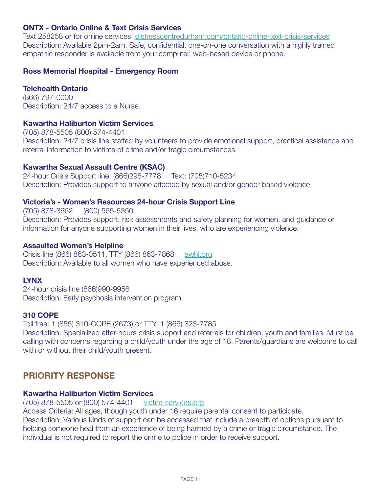### **ONTX - Ontario Online & Text Crisis Services**

Text 258258 or for online services:<distresscentredurham.com/ontario-online-text-crisis-services> Description: Available 2pm-2am. Safe, confidential, one-on-one conversation with a highly trained empathic responder is available from your computer, web-based device or phone.

### **Ross Memorial Hospital - Emergency Room**

### **Telehealth Ontario**

(866) 797-0000 Description: 24/7 access to a Nurse.

### **Kawartha Haliburton Victim services**

(705) 878-5505 (800) 574-4401 Description: 24/7 crisis line staffed by volunteers to provide emotional support, practical assistance and referral information to victims of crime and/or tragic circumstances.

### **Kawartha sexual Assault Centre (KsAC)**

24-hour Crisis Support line: (866)298-7778 Text: (705)710-5234 Description: Provides support to anyone affected by sexual and/or gender-based violence.

### **Victoria's - Women's Resources 24-hour Crisis support Line**

(705) 878-3662 (800) 565-5350 Description: Provides support, risk assessments and safety planning for women, and guidance or information for anyone supporting women in their lives, who are experiencing violence.

### **Assaulted Women's Helpline**

Crisis line (866) 863-0511, TTY (866) 863-7868 <awhl.org> Description: Available to all women who have experienced abuse.

### **LYNX**

24-hour crisis line (866)990-9956 Description: Early psychosis intervention program.

### **310 CoPE**

Toll free: 1 (855) 310-COPE (2673) or TTY: 1 (866) 323-7785 Description: Specialized after-hours crisis support and referrals for children, youth and families. Must be calling with concerns regarding a child/youth under the age of 18. Parents/guardians are welcome to call with or without their child/youth present.

### **PRioRitY REsPoNsE**

### **Kawartha Haliburton Victim services**

(705) 878-5505 or (800) 574-4401 <victim-services.org>

Access Criteria: All ages, though youth under 16 require parental consent to participate.

Description: Various kinds of support can be accessed that include a breadth of options pursuant to helping someone heal from an experience of being harmed by a crime or tragic circumstance. The individual is not required to report the crime to police in order to receive support.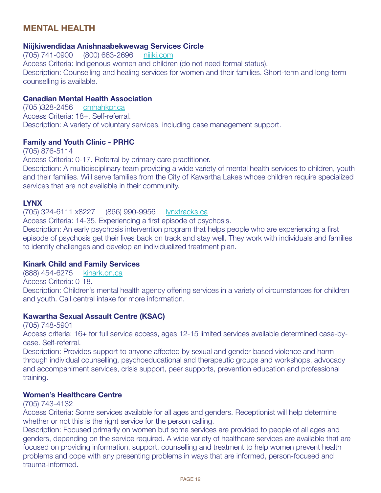### **MENtAL HEALtH**

### **Niijkiwendidaa Anishnaabekwewag services Circle**

(705) 741-0900 (800) 663-2696 <niijki.com> Access Criteria: Indigenous women and children (do not need formal status). Description: Counselling and healing services for women and their families. Short-term and long-term counselling is available.

### **Canadian Mental Health Association**

(705 )328-2456 <cmhahkpr.ca> Access Criteria: 18+. Self-referral. Description: A variety of voluntary services, including case management support.

#### **Family and Youth Clinic - PRHC**

(705) 876-5114 Access Criteria: 0-17. Referral by primary care practitioner. Description: A multidisciplinary team providing a wide variety of mental health services to children, youth and their families. Will serve families from the City of Kawartha Lakes whose children require specialized services that are not available in their community.

### **LYNX**

(705) 324-6111 x8227 (866) 990-9956 <lynxtracks.ca> Access Criteria: 14-35. Experiencing a first episode of psychosis. Description: An early psychosis intervention program that helps people who are experiencing a first episode of psychosis get their lives back on track and stay well. They work with individuals and families to identify challenges and develop an individualized treatment plan.

### **Kinark Child and Family services**

(888) 454-6275 <kinark.on.ca> Access Criteria: 0-18. Description: Children's mental health agency offering services in a variety of circumstances for children and youth. Call central intake for more information.

### **Kawartha sexual Assault Centre (KsAC)**

(705) 748-5901

Access criteria: 16+ for full service access, ages 12-15 limited services available determined case-bycase. Self-referral.

Description: Provides support to anyone affected by sexual and gender-based violence and harm through individual counselling, psychoeducational and therapeutic groups and workshops, advocacy and accompaniment services, crisis support, peer supports, prevention education and professional training.

### **Women's Healthcare Centre**

#### (705) 743-4132

Access Criteria: Some services available for all ages and genders. Receptionist will help determine whether or not this is the right service for the person calling.

Description: Focused primarily on women but some services are provided to people of all ages and genders, depending on the service required. A wide variety of healthcare services are available that are focused on providing information, support, counselling and treatment to help women prevent health problems and cope with any presenting problems in ways that are informed, person-focused and trauma-informed.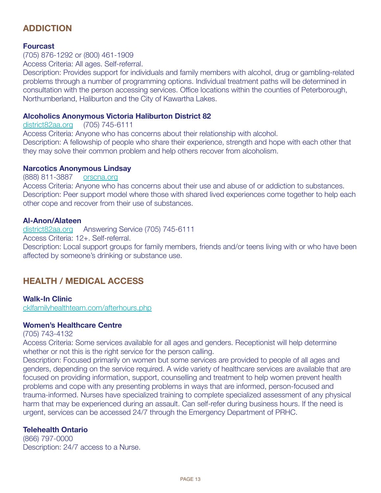### **ADDiCtioN**

### **Fourcast**

(705) 876-1292 or (800) 461-1909

Access Criteria: All ages. Self-referral.

Description: Provides support for individuals and family members with alcohol, drug or gambling-related problems through a number of programming options. Individual treatment paths will be determined in consultation with the person accessing services. Office locations within the counties of Peterborough, Northumberland, Haliburton and the City of Kawartha Lakes.

### **Alcoholics Anonymous Victoria Haliburton District 82**

<district82aa.org> (705) 745-6111

Access Criteria: Anyone who has concerns about their relationship with alcohol. Description: A fellowship of people who share their experience, strength and hope with each other that they may solve their common problem and help others recover from alcoholism.

### **Narcotics Anonymous Lindsay**

#### (888) 811-3887 <orscna.org>

Access Criteria: Anyone who has concerns about their use and abuse of or addiction to substances. Description: Peer support model where those with shared lived experiences come together to help each other cope and recover from their use of substances.

### **Al-Anon/Alateen**

<district82aa.org> Answering Service (705) 745-6111

Access Criteria: 12+. Self-referral.

Description: Local support groups for family members, friends and/or teens living with or who have been affected by someone's drinking or substance use.

### **HEALtH / MEDiCAL ACCEss**

### **Walk-in Clinic**

<cklfamilyhealthteam.com/afterhours.php>

### **Women's Healthcare Centre**

(705) 743-4132

Access Criteria: Some services available for all ages and genders. Receptionist will help determine whether or not this is the right service for the person calling.

Description: Focused primarily on women but some services are provided to people of all ages and genders, depending on the service required. A wide variety of healthcare services are available that are focused on providing information, support, counselling and treatment to help women prevent health problems and cope with any presenting problems in ways that are informed, person-focused and trauma-informed. Nurses have specialized training to complete specialized assessment of any physical harm that may be experienced during an assault. Can self-refer during business hours. If the need is urgent, services can be accessed 24/7 through the Emergency Department of PRHC.

### **Telehealth Ontario**

(866) 797-0000 Description: 24/7 access to a Nurse.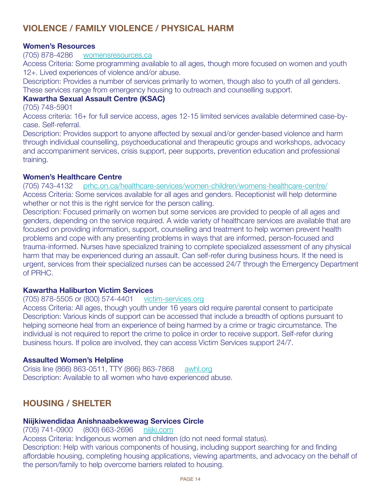### **VioLENCE / FAMiLY VioLENCE / PHYsiCAL HARM**

### **Women's Resources**

(705) 878-4286 <womensresources.ca>

Access Criteria: Some programming available to all ages, though more focused on women and youth 12+. Lived experiences of violence and/or abuse.

Description: Provides a number of services primarily to women, though also to youth of all genders. These services range from emergency housing to outreach and counselling support.

### **Kawartha sexual Assault Centre (KsAC)**

(705) 748-5901

Access criteria: 16+ for full service access, ages 12-15 limited services available determined case-bycase. Self-referral.

Description: Provides support to anyone affected by sexual and/or gender-based violence and harm through individual counselling, psychoeducational and therapeutic groups and workshops, advocacy and accompaniment services, crisis support, peer supports, prevention education and professional training.

#### **Women's Healthcare Centre**

(705) 743-4132 <prhc.on.ca/healthcare-services/women-children/womens-healthcare-centre/> Access Criteria: Some services available for all ages and genders. Receptionist will help determine whether or not this is the right service for the person calling.

Description: Focused primarily on women but some services are provided to people of all ages and genders, depending on the service required. A wide variety of healthcare services are available that are focused on providing information, support, counselling and treatment to help women prevent health problems and cope with any presenting problems in ways that are informed, person-focused and trauma-informed. Nurses have specialized training to complete specialized assessment of any physical harm that may be experienced during an assault. Can self-refer during business hours. If the need is urgent, services from their specialized nurses can be accessed 24/7 through the Emergency Department of PRHC.

### **Kawartha Haliburton Victim services**

#### (705) 878-5505 or (800) 574-4401 <victim-services.org>

Access Criteria: All ages, though youth under 16 years old require parental consent to participate Description: Various kinds of support can be accessed that include a breadth of options pursuant to helping someone heal from an experience of being harmed by a crime or tragic circumstance. The individual is not required to report the crime to police in order to receive support. Self-refer during business hours. If police are involved, they can access Victim Services support 24/7.

### **Assaulted Women's Helpline**

Crisis line (866) 863-0511, TTY (866) 863-7868 <awhl.org> Description: Available to all women who have experienced abuse.

### **HousiNG / sHELtER**

#### **Niijkiwendidaa Anishnaabekwewag services Circle**

(705) 741-0900 (800) 663-2696 <niijki.com> Access Criteria: Indigenous women and children (do not need formal status). Description: Help with various components of housing, including support searching for and finding affordable housing, completing housing applications, viewing apartments, and advocacy on the behalf of the person/family to help overcome barriers related to housing.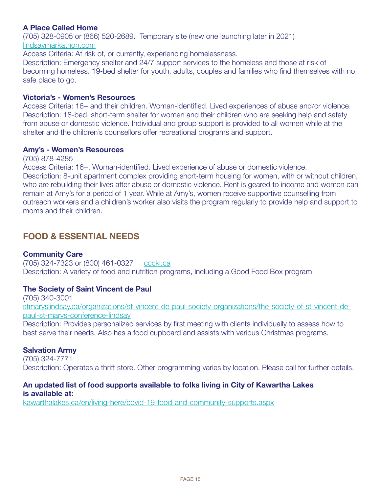### **A Place Called Home**

(705) 328-0905 or (866) 520-2689. Temporary site (new one launching later in 2021) <lindsaymarkathon.com>

Access Criteria: At risk of, or currently, experiencing homelessness.

Description: Emergency shelter and 24/7 support services to the homeless and those at risk of becoming homeless. 19-bed shelter for youth, adults, couples and families who find themselves with no safe place to go.

#### **Victoria's - Women's Resources**

Access Criteria: 16+ and their children. Woman-identified. Lived experiences of abuse and/or violence. Description: 18-bed, short-term shelter for women and their children who are seeking help and safety from abuse or domestic violence. Individual and group support is provided to all women while at the shelter and the children's counsellors offer recreational programs and support.

#### **Amy's - Women's Resources**

(705) 878-4285

Access Criteria: 16+. Woman-identified. Lived experience of abuse or domestic violence.

Description: 8-unit apartment complex providing short-term housing for women, with or without children, who are rebuilding their lives after abuse or domestic violence. Rent is geared to income and women can remain at Amy's for a period of 1 year. While at Amy's, women receive supportive counselling from outreach workers and a children's worker also visits the program regularly to provide help and support to moms and their children.

### **FooD & EssENtiAL NEEDs**

### **Community Care**

(705) 324-7323 or (800) 461-0327 <ccckl.ca> Description: A variety of food and nutrition programs, including a Good Food Box program.

### **The Society of Saint Vincent de Paul**

(705) 340-3001 [stmaryslindsay.ca/organizations/st-vincent-de-paul-society-organizations/the-society-of-st-vincent-de](stmaryslindsay.ca/organizations/st-vincent-de-paul-society-organizations/the-society-of-st-vincent-de-paul-st-marys-conference-lindsay)[paul-st-marys-conference-lindsay](stmaryslindsay.ca/organizations/st-vincent-de-paul-society-organizations/the-society-of-st-vincent-de-paul-st-marys-conference-lindsay)

Description: Provides personalized services by first meeting with clients individually to assess how to best serve their needs. Also has a food cupboard and assists with various Christmas programs.

### **salvation Army**

(705) 324-7771 Description: Operates a thrift store. Other programming varies by location. Please call for further details.

### **An updated list of food supports available to folks living in City of Kawartha Lakes is available at:**

<kawarthalakes.ca/en/living-here/covid-19-food-and-community-supports.aspx>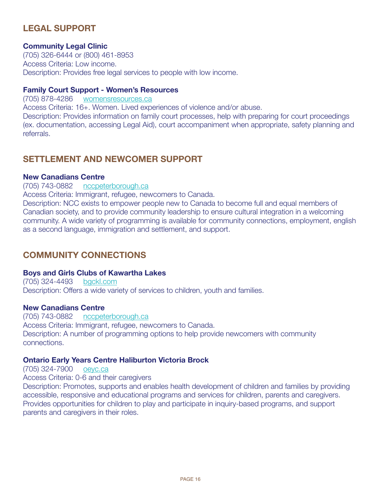### **LEGAL suPPoRt**

### **Community Legal Clinic**

(705) 326-6444 or (800) 461-8953 Access Criteria: Low income. Description: Provides free legal services to people with low income.

### **Family Court support - Women's Resources**

(705) 878-4286 <womensresources.ca> Access Criteria: 16+. Women. Lived experiences of violence and/or abuse. Description: Provides information on family court processes, help with preparing for court proceedings (ex. documentation, accessing Legal Aid), court accompaniment when appropriate, safety planning and referrals.

### **sEttLEMENt AND NEWCoMER suPPoRt**

### **New Canadians Centre**

#### (705) 743-0882 <nccpeterborough.ca>

Access Criteria: Immigrant, refugee, newcomers to Canada.

Description: NCC exists to empower people new to Canada to become full and equal members of Canadian society, and to provide community leadership to ensure cultural integration in a welcoming community. A wide variety of programming is available for community connections, employment, english as a second language, immigration and settlement, and support.

### **CoMMuNitY CoNNECtioNs**

#### **Boys and Girls Clubs of Kawartha Lakes**

(705) 324-4493 <bgckl.com> Description: Offers a wide variety of services to children, youth and families.

#### **New Canadians Centre**

(705) 743-0882 <nccpeterborough.ca> Access Criteria: Immigrant, refugee, newcomers to Canada. Description: A number of programming options to help provide newcomers with community connections.

### **ontario Early Years Centre Haliburton Victoria Brock**

(705) 324-7900 <oeyc.ca>

Access Criteria: 0-6 and their caregivers

Description: Promotes, supports and enables health development of children and families by providing accessible, responsive and educational programs and services for children, parents and caregivers. Provides opportunities for children to play and participate in inquiry-based programs, and support parents and caregivers in their roles.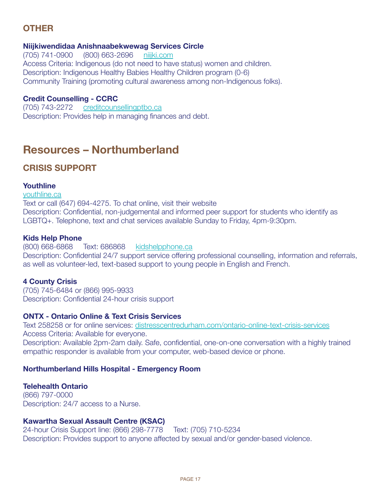# **otHER**

### **Niijkiwendidaa Anishnaabekwewag services Circle**

(705) 741-0900 (800) 663-2696 <niijki.com> Access Criteria: Indigenous (do not need to have status) women and children. Description: Indigenous Healthy Babies Healthy Children program (0-6) Community Training (promoting cultural awareness among non-Indigenous folks).

### **Credit Counselling - CCRC**

(705) 743-2272 <creditcounsellingptbo.ca> Description: Provides help in managing finances and debt.

# **Resources – Northumberland**

### **CRisis suPPoRt**

### **Youthline**

<youthline.ca> Text or call (647) 694-4275. To chat online, visit their website Description: Confidential, non-judgemental and informed peer support for students who identify as LGBTQ+. Telephone, text and chat services available Sunday to Friday, 4pm-9:30pm.

### **Kids Help Phone**

(800) 668-6868 Text: 686868 <kidshelpphone.ca> Description: Confidential 24/7 support service offering professional counselling, information and referrals, as well as volunteer-led, text-based support to young people in English and French.

### **4 County Crisis**

(705) 745-6484 or (866) 995-9933 Description: Confidential 24-hour crisis support

### **ONTX - Ontario Online & Text Crisis Services**

Text 258258 or for online services:<distresscentredurham.com/ontario-online-text-crisis-services> Access Criteria: Available for everyone. Description: Available 2pm-2am daily. Safe, confidential, one-on-one conversation with a highly trained empathic responder is available from your computer, web-based device or phone.

### **Northumberland Hills Hospital - Emergency Room**

### **Telehealth Ontario**

(866) 797-0000 Description: 24/7 access to a Nurse.

### **Kawartha sexual Assault Centre (KsAC)**

24-hour Crisis Support line: (866) 298-7778 Text: (705) 710-5234 Description: Provides support to anyone affected by sexual and/or gender-based violence.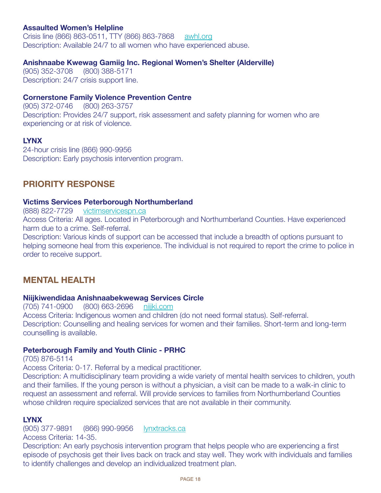### **Assaulted Women's Helpline**

Crisis line (866) 863-0511, TTY (866) 863-7868 <awhl.org> Description: Available 24/7 to all women who have experienced abuse.

### **Anishnaabe Kwewag Gamiig inc. Regional Women's shelter (Alderville)**

(905) 352-3708 (800) 388-5171 Description: 24/7 crisis support line.

### **Cornerstone Family Violence Prevention Centre**

(905) 372-0746 (800) 263-3757 Description: Provides 24/7 support, risk assessment and safety planning for women who are experiencing or at risk of violence.

### **LYNX**

24-hour crisis line (866) 990-9956 Description: Early psychosis intervention program.

### **PRioRitY REsPoNsE**

### **Victims services Peterborough Northumberland**

(888) 822-7729 <victimservicespn.ca>

Access Criteria: All ages. Located in Peterborough and Northumberland Counties. Have experienced harm due to a crime. Self-referral.

Description: Various kinds of support can be accessed that include a breadth of options pursuant to helping someone heal from this experience. The individual is not required to report the crime to police in order to receive support.

### **MENtAL HEALtH**

### **Niijkiwendidaa Anishnaabekwewag services Circle**

(705) 741-0900 (800) 663-2696 <niijki.com> Access Criteria: Indigenous women and children (do not need formal status). Self-referral. Description: Counselling and healing services for women and their families. Short-term and long-term counselling is available.

### **Peterborough Family and Youth Clinic - PRHC**

(705) 876-5114

Access Criteria: 0-17. Referral by a medical practitioner.

Description: A multidisciplinary team providing a wide variety of mental health services to children, youth and their families. If the young person is without a physician, a visit can be made to a walk-in clinic to request an assessment and referral. Will provide services to families from Northumberland Counties whose children require specialized services that are not available in their community.

### **LYNX**

(905) 377-9891 (866) 990-9956 <lynxtracks.ca> Access Criteria: 14-35.

Description: An early psychosis intervention program that helps people who are experiencing a first episode of psychosis get their lives back on track and stay well. They work with individuals and families to identify challenges and develop an individualized treatment plan.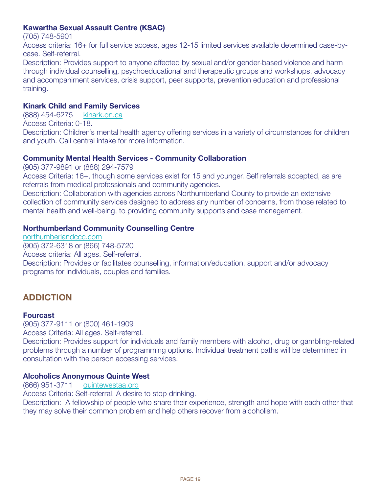### **Kawartha sexual Assault Centre (KsAC)**

(705) 748-5901

Access criteria: 16+ for full service access, ages 12-15 limited services available determined case-bycase. Self-referral.

Description: Provides support to anyone affected by sexual and/or gender-based violence and harm through individual counselling, psychoeducational and therapeutic groups and workshops, advocacy and accompaniment services, crisis support, peer supports, prevention education and professional training.

### **Kinark Child and Family services**

(888) 454-6275 <kinark.on.ca>

Access Criteria: 0-18.

Description: Children's mental health agency offering services in a variety of circumstances for children and youth. Call central intake for more information.

### **Community Mental Health services - Community Collaboration**

(905) 377-9891 or (888) 294-7579

Access Criteria: 16+, though some services exist for 15 and younger. Self referrals accepted, as are referrals from medical professionals and community agencies.

Description: Collaboration with agencies across Northumberland County to provide an extensive collection of community services designed to address any number of concerns, from those related to mental health and well-being, to providing community supports and case management.

### **Northumberland Community Counselling Centre**

<northumberlandccc.com> (905) 372-6318 or (866) 748-5720 Access criteria: All ages. Self-referral. Description: Provides or facilitates counselling, information/education, support and/or advocacy programs for individuals, couples and families.

### **ADDiCtioN**

### **Fourcast**

(905) 377-9111 or (800) 461-1909

Access Criteria: All ages. Self-referral.

Description: Provides support for individuals and family members with alcohol, drug or gambling-related problems through a number of programming options. Individual treatment paths will be determined in consultation with the person accessing services.

### **Alcoholics Anonymous Quinte West**

(866) 951-3711 <quintewestaa.org>

Access Criteria: Self-referral. A desire to stop drinking.

Description: A fellowship of people who share their experience, strength and hope with each other that they may solve their common problem and help others recover from alcoholism.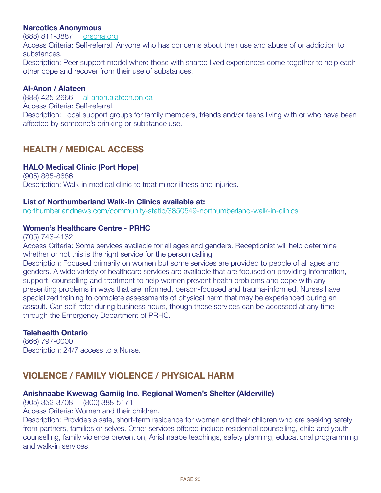### **Narcotics Anonymous**

(888) 811-3887 <orscna.org>

Access Criteria: Self-referral. Anyone who has concerns about their use and abuse of or addiction to substances.

Description: Peer support model where those with shared lived experiences come together to help each other cope and recover from their use of substances.

### **Al-Anon / Alateen**

(888) 425-2666 <al-anon.alateen.on.ca> Access Criteria: Self-referral. Description: Local support groups for family members, friends and/or teens living with or who have been affected by someone's drinking or substance use.

### **HEALtH / MEDiCAL ACCEss**

### **HALo Medical Clinic (Port Hope)**

(905) 885-8686 Description: Walk-in medical clinic to treat minor illness and injuries.

### **List of Northumberland Walk-in Clinics available at:**

<northumberlandnews.com/community-static/3850549-northumberland-walk-in-clinics>

### **Women's Healthcare Centre - PRHC**

(705) 743-4132

Access Criteria: Some services available for all ages and genders. Receptionist will help determine whether or not this is the right service for the person calling.

Description: Focused primarily on women but some services are provided to people of all ages and genders. A wide variety of healthcare services are available that are focused on providing information, support, counselling and treatment to help women prevent health problems and cope with any presenting problems in ways that are informed, person-focused and trauma-informed. Nurses have specialized training to complete assessments of physical harm that may be experienced during an assault. Can self-refer during business hours, though these services can be accessed at any time through the Emergency Department of PRHC.

### **Telehealth Ontario**

(866) 797-0000 Description: 24/7 access to a Nurse.

### **VioLENCE / FAMiLY VioLENCE / PHYsiCAL HARM**

### **Anishnaabe Kwewag Gamiig inc. Regional Women's shelter (Alderville)**

(905) 352-3708 (800) 388-5171

Access Criteria: Women and their children.

Description: Provides a safe, short-term residence for women and their children who are seeking safety from partners, families or selves. Other services offered include residential counselling, child and youth counselling, family violence prevention, Anishnaabe teachings, safety planning, educational programming and walk-in services.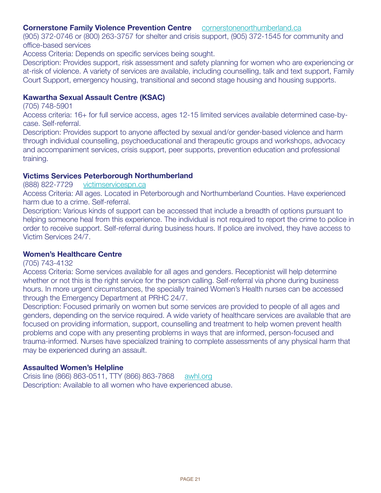### **Cornerstone Family Violence Prevention Centre** <cornerstonenorthumberland.ca>

(905) 372-0746 or (800) 263-3757 for shelter and crisis support, (905) 372-1545 for community and office-based services

Access Criteria: Depends on specific services being sought.

Description: Provides support, risk assessment and safety planning for women who are experiencing or at-risk of violence. A variety of services are available, including counselling, talk and text support, Family Court Support, emergency housing, transitional and second stage housing and housing supports.

### **Kawartha sexual Assault Centre (KsAC)**

(705) 748-5901

Access criteria: 16+ for full service access, ages 12-15 limited services available determined case-bycase. Self-referral.

Description: Provides support to anyone affected by sexual and/or gender-based violence and harm through individual counselling, psychoeducational and therapeutic groups and workshops, advocacy and accompaniment services, crisis support, peer supports, prevention education and professional training.

#### **Victims services Peterborough Northumberland**

#### (888) 822-7729 <victimservicespn.ca>

Access Criteria: All ages. Located in Peterborough and Northumberland Counties. Have experienced harm due to a crime. Self-referral.

Description: Various kinds of support can be accessed that include a breadth of options pursuant to helping someone heal from this experience. The individual is not required to report the crime to police in order to receive support. Self-referral during business hours. If police are involved, they have access to Victim Services 24/7.

#### **Women's Healthcare Centre**

#### (705) 743-4132

Access Criteria: Some services available for all ages and genders. Receptionist will help determine whether or not this is the right service for the person calling. Self-referral via phone during business hours. In more urgent circumstances, the specially trained Women's Health nurses can be accessed through the Emergency Department at PRHC 24/7.

Description: Focused primarily on women but some services are provided to people of all ages and genders, depending on the service required. A wide variety of healthcare services are available that are focused on providing information, support, counselling and treatment to help women prevent health problems and cope with any presenting problems in ways that are informed, person-focused and trauma-informed. Nurses have specialized training to complete assessments of any physical harm that may be experienced during an assault.

#### **Assaulted Women's Helpline**

Crisis line (866) 863-0511, TTY (866) 863-7868 <awhl.org> Description: Available to all women who have experienced abuse.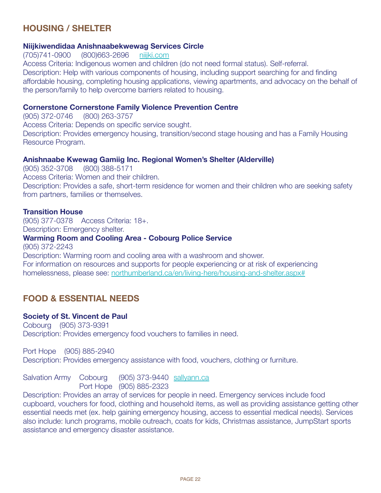### **HousiNG / sHELtER**

### **Niijkiwendidaa Anishnaabekwewag services Circle**

(705)741-0900 (800)663-2696 <niijki.com>

Access Criteria: Indigenous women and children (do not need formal status). Self-referral. Description: Help with various components of housing, including support searching for and finding affordable housing, completing housing applications, viewing apartments, and advocacy on the behalf of the person/family to help overcome barriers related to housing.

### **Cornerstone Cornerstone Family Violence Prevention Centre**

(905) 372-0746 (800) 263-3757 Access Criteria: Depends on specific service sought. Description: Provides emergency housing, transition/second stage housing and has a Family Housing Resource Program.

### **Anishnaabe Kwewag Gamiig inc. Regional Women's shelter (Alderville)**

(905) 352-3708 (800) 388-5171 Access Criteria: Women and their children. Description: Provides a safe, short-term residence for women and their children who are seeking safety from partners, families or themselves.

### **transition House**

(905) 377-0378 Access Criteria: 18+. Description: Emergency shelter. **Warming Room and Cooling Area - Cobourg Police service** (905) 372-2243 Description: Warming room and cooling area with a washroom and shower. For information on resources and supports for people experiencing or at risk of experiencing homelessness, please see:<northumberland.ca/en/living-here/housing-and-shelter.aspx#>

### **FooD & EssENtiAL NEEDs**

### **society of st. Vincent de Paul**

Cobourg (905) 373-9391 Description: Provides emergency food vouchers to families in need.

Port Hope (905) 885-2940 Description: Provides emergency assistance with food, vouchers, clothing or furniture.

Salvation Army Cobourg (905) 373-9440 <sallyann.ca> Port Hope (905) 885-2323

Description: Provides an array of services for people in need. Emergency services include food cupboard, vouchers for food, clothing and household items, as well as providing assistance getting other essential needs met (ex. help gaining emergency housing, access to essential medical needs). Services also include: lunch programs, mobile outreach, coats for kids, Christmas assistance, JumpStart sports assistance and emergency disaster assistance.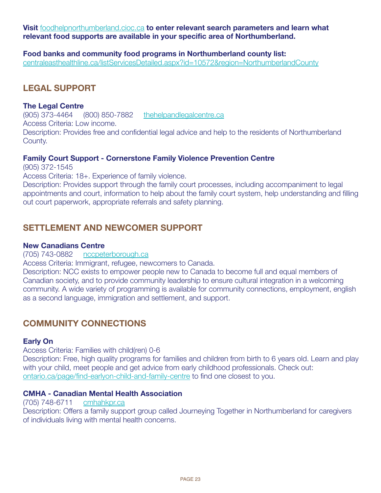**Visit** <foodhelpnorthumberland.cioc.ca> **to enter relevant search parameters and learn what relevant food supports are available in your specific area of Northumberland.**

**Food banks and community food programs in Northumberland county list:**

[centraleasthealthline.ca/listServicesDetailed.aspx?id=10572&region=NorthumberlandCounty](centraleasthealthline.ca/listServicesDetailed.aspx?id=10572®ion=NorthumberlandCounty)

### **LEGAL suPPoRt**

### **the Legal Centre**

(905) 373-4464 (800) 850-7882 <thehelpandlegalcentre.ca> Access Criteria: Low income. Description: Provides free and confidential legal advice and help to the residents of Northumberland County.

### **Family Court support - Cornerstone Family Violence Prevention Centre**

(905) 372-1545

Access Criteria: 18+. Experience of family violence.

Description: Provides support through the family court processes, including accompaniment to legal appointments and court, information to help about the family court system, help understanding and filling out court paperwork, appropriate referrals and safety planning.

### **SETTI EMENT AND NEWCOMER SUPPORT**

### **New Canadians Centre**

(705) 743-0882 <nccpeterborough.ca>

Access Criteria: Immigrant, refugee, newcomers to Canada.

Description: NCC exists to empower people new to Canada to become full and equal members of Canadian society, and to provide community leadership to ensure cultural integration in a welcoming community. A wide variety of programming is available for community connections, employment, english as a second language, immigration and settlement, and support.

### **CoMMuNitY CoNNECtioNs**

### **Early on**

Access Criteria: Families with child(ren) 0-6

Description: Free, high quality programs for families and children from birth to 6 years old. Learn and play with your child, meet people and get advice from early childhood professionals. Check out: <ontario.ca/page/find-earlyon-child-and-family-centre> to find one closest to you.

### **CMHA - Canadian Mental Health Association**

### (705) 748-6711 <cmhahkpr.ca>

Description: Offers a family support group called Journeying Together in Northumberland for caregivers of individuals living with mental health concerns.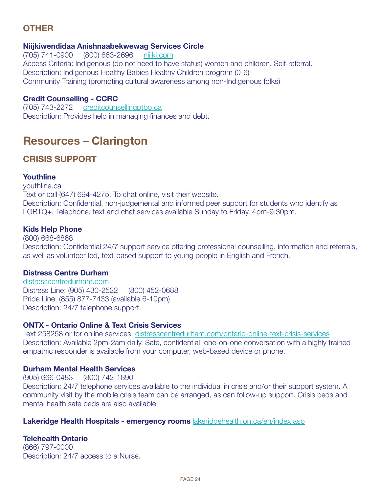# **otHER**

### **Niijkiwendidaa Anishnaabekwewag services Circle**

(705) 741-0900 (800) 663-2696 <niijki.com> Access Criteria: Indigenous (do not need to have status) women and children. Self-referral. Description: Indigenous Healthy Babies Healthy Children program (0-6) Community Training (promoting cultural awareness among non-Indigenous folks)

### **Credit Counselling - CCRC**

(705) 743-2272 <creditcounsellingptbo.ca> Description: Provides help in managing finances and debt.

# **Resources – Clarington**

### **CRisis suPPoRt**

### **Youthline**

youthline.ca Text or call (647) 694-4275. To chat online, visit their website. Description: Confidential, non-judgemental and informed peer support for students who identify as LGBTQ+. Telephone, text and chat services available Sunday to Friday, 4pm-9:30pm.

### **Kids Help Phone**

(800) 668-6868 Description: Confidential 24/7 support service offering professional counselling, information and referrals, as well as volunteer-led, text-based support to young people in English and French.

### **Distress Centre Durham**

<distresscentredurham.com> Distress Line: (905) 430-2522 (800) 452-0688 Pride Line: (855) 877-7433 (available 6-10pm) Description: 24/7 telephone support.

### **ONTX - Ontario Online & Text Crisis Services**

Text 258258 or for online services:<distresscentredurham.com/ontario-online-text-crisis-services> Description: Available 2pm-2am daily. Safe, confidential, one-on-one conversation with a highly trained empathic responder is available from your computer, web-based device or phone.

### **Durham Mental Health services**

(905) 666-0483 (800) 742-1890

Description: 24/7 telephone services available to the individual in crisis and/or their support system. A community visit by the mobile crisis team can be arranged, as can follow-up support. Crisis beds and mental health safe beds are also available.

### **Lakeridge Health Hospitals - emergency rooms** <lakeridgehealth.on.ca/en/index.asp>

### **Telehealth Ontario**

(866) 797-0000 Description: 24/7 access to a Nurse.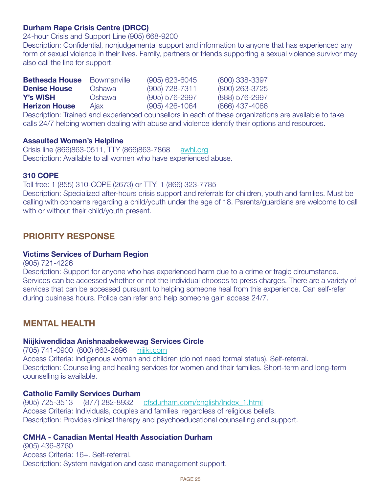### **Durham Rape Crisis Centre (DRCC)**

24-hour Crisis and Support Line (905) 668-9200

Description: Confidential, nonjudgemental support and information to anyone that has experienced any form of sexual violence in their lives. Family, partners or friends supporting a sexual violence survivor may also call the line for support.

| <b>Bethesda House</b> | <b>Bowmanville</b> | $(905)$ 623-6045 | (800) 338-3397   |
|-----------------------|--------------------|------------------|------------------|
| <b>Denise House</b>   | Oshawa             | $(905)$ 728-7311 | (800) 263-3725   |
| <b>Y's WISH</b>       | Oshawa             | $(905)$ 576-2997 | (888) 576-2997   |
| <b>Herizon House</b>  | Ajax               | $(905)$ 426-1064 | $(866)$ 437-4066 |

Description: Trained and experienced counsellors in each of these organizations are available to take calls 24/7 helping women dealing with abuse and violence identify their options and resources.

### **Assaulted Women's Helpline**

Crisis line (866)863-0511, TTY (866)863-7868 <awhl.org> Description: Available to all women who have experienced abuse.

### **310 CoPE**

### Toll free: 1 (855) 310-COPE (2673) or TTY: 1 (866) 323-7785

Description: Specialized after-hours crisis support and referrals for children, youth and families. Must be calling with concerns regarding a child/youth under the age of 18. Parents/guardians are welcome to call with or without their child/youth present.

### **PRioRitY REsPoNsE**

#### **Victims services of Durham Region**

(905) 721-4226

Description: Support for anyone who has experienced harm due to a crime or tragic circumstance. Services can be accessed whether or not the individual chooses to press charges. There are a variety of services that can be accessed pursuant to helping someone heal from this experience. Can self-refer during business hours. Police can refer and help someone gain access 24/7.

### **MENtAL HEALtH**

#### **Niijkiwendidaa Anishnaabekwewag services Circle**

(705) 741-0900 (800) 663-2696 <niijki.com> Access Criteria: Indigenous women and children (do not need formal status). Self-referral. Description: Counselling and healing services for women and their families. Short-term and long-term counselling is available.

#### **Catholic Family Services Durham**

(905) 725-3513 (877) 282-8932 [cfsdurham.com/english/Index\\_1.html](cfsdurham.com/english/Index_1.html) Access Criteria: Individuals, couples and families, regardless of religious beliefs. Description: Provides clinical therapy and psychoeducational counselling and support.

### **CMHA - Canadian Mental Health Association Durham**

(905) 436-8760 Access Criteria: 16+. Self-referral. Description: System navigation and case management support.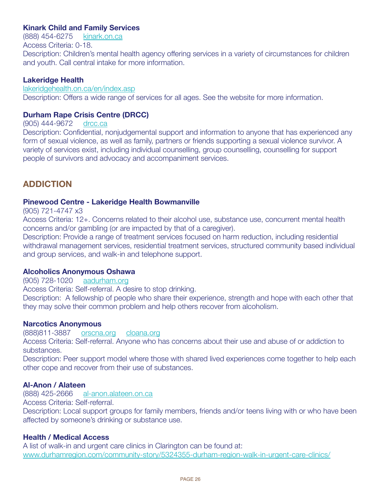### **Kinark Child and Family services**

(888) 454-6275 <kinark.on.ca> Access Criteria: 0-18. Description: Children's mental health agency offering services in a variety of circumstances for children and youth. Call central intake for more information.

### **Lakeridge Health**

<lakeridgehealth.on.ca/en/index.asp> Description: Offers a wide range of services for all ages. See the website for more information.

### **Durham Rape Crisis Centre (DRCC)**

(905) 444-9672 <drcc.ca>

Description: Confidential, nonjudgemental support and information to anyone that has experienced any form of sexual violence, as well as family, partners or friends supporting a sexual violence survivor. A variety of services exist, including individual counselling, group counselling, counselling for support people of survivors and advocacy and accompaniment services.

### **ADDiCtioN**

### **Pinewood Centre - Lakeridge Health Bowmanville**

(905) 721-4747 x3

Access Criteria: 12+. Concerns related to their alcohol use, substance use, concurrent mental health concerns and/or gambling (or are impacted by that of a caregiver).

Description: Provide a range of treatment services focused on harm reduction, including residential withdrawal management services, residential treatment services, structured community based individual and group services, and walk-in and telephone support.

### **Alcoholics Anonymous oshawa**

(905) 728-1020 <aadurham.org>

Access Criteria: Self-referral. A desire to stop drinking.

Description: A fellowship of people who share their experience, strength and hope with each other that they may solve their common problem and help others recover from alcoholism.

### **Narcotics Anonymous**

(888)811-3887 <orscna.org> <cloana.org>

Access Criteria: Self-referral. Anyone who has concerns about their use and abuse of or addiction to substances.

Description: Peer support model where those with shared lived experiences come together to help each other cope and recover from their use of substances.

### **Al-Anon / Alateen**

(888) 425-2666 <al-anon.alateen.on.ca>

Access Criteria: Self-referral.

Description: Local support groups for family members, friends and/or teens living with or who have been affected by someone's drinking or substance use.

### **Health / Medical Access**

A list of walk-in and urgent care clinics in Clarington can be found at: <www.durhamregion.com/community-story/5324355-durham-region-walk-in-urgent-care-clinics/>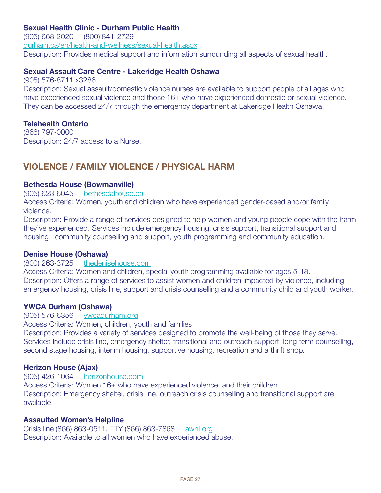### **sexual Health Clinic - Durham Public Health**

(905) 668-2020 (800) 841-2729 <durham.ca/en/health-and-wellness/sexual-health.aspx> Description: Provides medical support and information surrounding all aspects of sexual health.

### **sexual Assault Care Centre - Lakeridge Health oshawa**

(905) 576-8711 x3286 Description: Sexual assault/domestic violence nurses are available to support people of all ages who have experienced sexual violence and those 16+ who have experienced domestic or sexual violence. They can be accessed 24/7 through the emergency department at Lakeridge Health Oshawa.

### **Telehealth Ontario**

(866) 797-0000 Description: 24/7 access to a Nurse.

### **VioLENCE / FAMiLY VioLENCE / PHYsiCAL HARM**

### **Bethesda House (Bowmanville)**

(905) 623-6045 <bethesdahouse.ca>

Access Criteria: Women, youth and children who have experienced gender-based and/or family violence.

Description: Provide a range of services designed to help women and young people cope with the harm they've experienced. Services include emergency housing, crisis support, transitional support and housing, community counselling and support, youth programming and community education.

### **Denise House (oshawa)**

#### (800) 263-3725 <thedenisehouse.com>

Access Criteria: Women and children, special youth programming available for ages 5-18. Description: Offers a range of services to assist women and children impacted by violence, including emergency housing, crisis line, support and crisis counselling and a community child and youth worker.

### **YWCA Durham (oshawa)**

#### (905) 576-6356 <ywcadurham.org>

Access Criteria: Women, children, youth and families

Description: Provides a variety of services designed to promote the well-being of those they serve. Services include crisis line, emergency shelter, transitional and outreach support, long term counselling, second stage housing, interim housing, supportive housing, recreation and a thrift shop.

### **Herizon House (Ajax)**

(905) 426-1064 <herizonhouse.com> Access Criteria: Women 16+ who have experienced violence, and their children. Description: Emergency shelter, crisis line, outreach crisis counselling and transitional support are available.

### **Assaulted Women's Helpline**

Crisis line (866) 863-0511, TTY (866) 863-7868 <awhl.org> Description: Available to all women who have experienced abuse.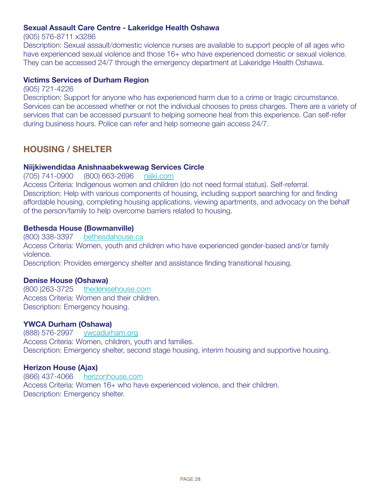### **sexual Assault Care Centre - Lakeridge Health oshawa**

(905) 576-8711 x3286

Description: Sexual assault/domestic violence nurses are available to support people of all ages who have experienced sexual violence and those 16+ who have experienced domestic or sexual violence. They can be accessed 24/7 through the emergency department at Lakeridge Health Oshawa.

### **Victims services of Durham Region**

(905) 721-4226

Description: Support for anyone who has experienced harm due to a crime or tragic circumstance. Services can be accessed whether or not the individual chooses to press charges. There are a variety of services that can be accessed pursuant to helping someone heal from this experience. Can self-refer during business hours. Police can refer and help someone gain access 24/7.

### **HousiNG / sHELtER**

### **Niijkiwendidaa Anishnaabekwewag services Circle**

(705) 741-0900 (800) 663-2696 <niijki.com> Access Criteria: Indigenous women and children (do not need formal status). Self-referral. Description: Help with various components of housing, including support searching for and finding affordable housing, completing housing applications, viewing apartments, and advocacy on the behalf of the person/family to help overcome barriers related to housing.

### **Bethesda House (Bowmanville)**

(800) 338-3397 <bethesdahouse.ca> Access Criteria: Women, youth and children who have experienced gender-based and/or family violence. Description: Provides emergency shelter and assistance finding transitional housing.

### **Denise House (oshawa)**

(800 )263-3725 <thedenisehouse.com> Access Criteria: Women and their children. Description: Emergency housing.

### **YWCA Durham (oshawa)**

(888) 576-2997 <ywcadurham.org> Access Criteria: Women, children, youth and families. Description: Emergency shelter, second stage housing, interim housing and supportive housing.

### **Herizon House (Ajax)**

(866) 437-4066 <herizonhouse.com> Access Criteria: Women 16+ who have experienced violence, and their children. Description: Emergency shelter.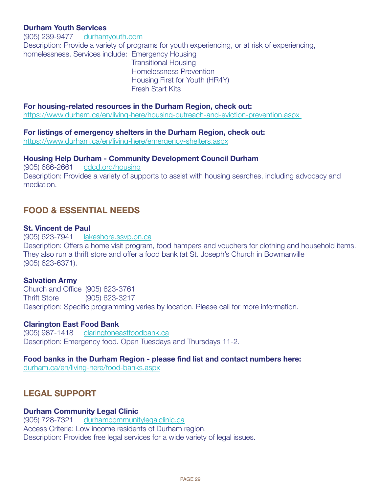### **Durham Youth services**

(905) 239-9477 <durhamyouth.com> Description: Provide a variety of programs for youth experiencing, or at risk of experiencing, homelessness. Services include: Emergency Housing Transitional Housing Homelessness Prevention Housing First for Youth (HR4Y) Fresh Start Kits

#### **For housing-related resources in the Durham Region, check out:**

[https://www.durham.ca/en/living-here/housing-outreach-and-eviction-prevention.aspx](https://www.durham.ca/en/living-here/housing-outreach-and-eviction-prevention.aspx ) 

#### **For listings of emergency shelters in the Durham Region, check out:**

<https://www.durham.ca/en/living-here/emergency-shelters.aspx>

#### **Housing Help Durham - Community Development Council Durham**

(905) 686-2661 <cdcd.org/housing> Description: Provides a variety of supports to assist with housing searches, including advocacy and mediation.

### **FooD & EssENtiAL NEEDs**

#### **st. Vincent de Paul**

(905) 623-7941 <lakeshore.ssvp.on.ca> Description: Offers a home visit program, food hampers and vouchers for clothing and household items. They also run a thrift store and offer a food bank (at St. Joseph's Church in Bowmanville (905) 623-6371).

#### **salvation Army**

Church and Office (905) 623-3761 Thrift Store (905) 623-3217 Description: Specific programming varies by location. Please call for more information.

#### **Clarington East Food Bank**

(905) 987-1418 <claringtoneastfoodbank.ca> Description: Emergency food. Open Tuesdays and Thursdays 11-2.

#### **Food banks in the Durham Region - please find list and contact numbers here:**

<durham.ca/en/living-here/food-banks.aspx>

### **LEGAL suPPoRt**

#### **Durham Community Legal Clinic**

(905) 728-7321 <durhamcommunitylegalclinic.ca> Access Criteria: Low income residents of Durham region. Description: Provides free legal services for a wide variety of legal issues.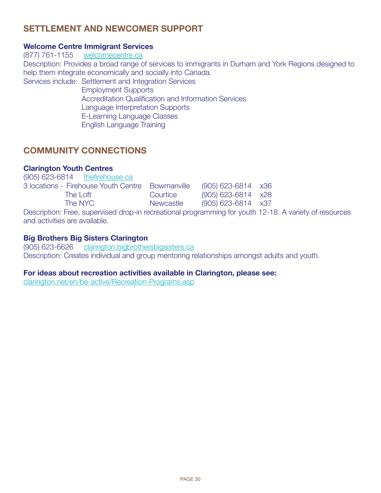### **sEttLEMENt AND NEWCoMER suPPoRt**

### **Welcome Centre Immigrant Services**

(877) 761-1155 <welcomecentre.ca> Description: Provides a broad range of services to immigrants in Durham and York Regions designed to help them integrate economically and socially into Canada. Services include: Settlement and Integration Services Employment Supports Accreditation Qualification and Information Services Language Interpretation Supports

E-Learning Language Classes

English Language Training

### **CoMMuNitY CoNNECtioNs**

#### **Clarington Youth Centres**  $(905)$   $(900)$   $(904)$  the first

| (905) 623-6814 thefirehouse.ca                                                  |           |                              |  |  |
|---------------------------------------------------------------------------------|-----------|------------------------------|--|--|
| 3 locations - Firehouse Youth Centre Bowmanville                                |           | $(905)$ 623-6814 $\times$ 36 |  |  |
| The Loft                                                                        | Courtice  | $(905)$ 623-6814 $\times$ 28 |  |  |
| The NYC                                                                         | Newcastle | $(905)$ 623-6814 $\times$ 37 |  |  |
| Description: Free, supervised drop-in recreational programming for youth 12-18. |           |                              |  |  |

Description: Free, supervised drop-in recreational programming for youth 12-18. A variety of resources and activities are available.

### **Big Brothers Big sisters Clarington**

(905) 623-6626 <clarington.bigbrothersbigsisters.ca> Description: Creates individual and group mentoring relationships amongst adults and youth.

#### **For ideas about recreation activities available in Clarington, please see:**

<clarington.net/en/be-active/Recreation-Programs.asp>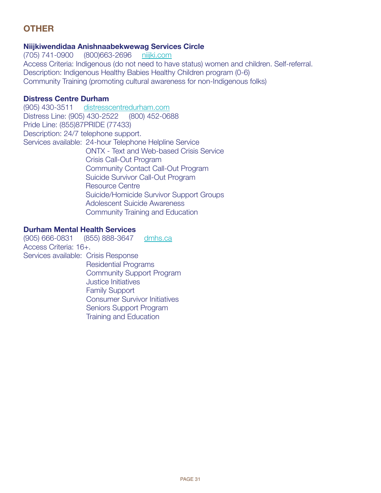# **OTHER**

### **Niijkiwendidaa Anishnaabekwewag services Circle**

(705) 741-0900 (800)663-2696 <niijki.com> Access Criteria: Indigenous (do not need to have status) women and children. Self-referral. Description: Indigenous Healthy Babies Healthy Children program (0-6) Community Training (promoting cultural awareness for non-Indigenous folks)

### **Distress Centre Durham**

(905) 430-3511 <distresscentredurham.com> Distress Line: (905) 430-2522 (800) 452-0688 Pride Line: (855)87PRIDE (77433) Description: 24/7 telephone support. Services available: 24-hour Telephone Helpline Service ONTX - Text and Web-based Crisis Service Crisis Call-Out Program Community Contact Call-Out Program Suicide Survivor Call-Out Program Resource Centre Suicide/Homicide Survivor Support Groups Adolescent Suicide Awareness Community Training and Education

### **Durham Mental Health services**

(905) 666-0831 (855) 888-3647 <dmhs.ca> Access Criteria: 16+. Services available: Crisis Response Residential Programs Community Support Program Justice Initiatives Family Support Consumer Survivor Initiatives Seniors Support Program Training and Education